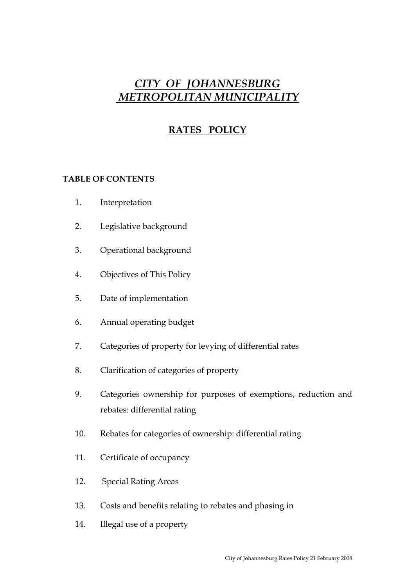# *CITY OF JOHANNESBURG METROPOLITAN MUNICIPALITY*

# **RATES POLICY**

# **TABLE OF CONTENTS**

- 1. Interpretation
- 2. Legislative background
- 3. Operational background
- 4. Objectives of This Policy
- 5. Date of implementation
- 6. Annual operating budget
- 7. Categories of property for levying of differential rates
- 8. Clarification of categories of property
- 9. Categories ownership for purposes of exemptions, reduction and rebates: differential rating
- 10. Rebates for categories of ownership: differential rating
- 11. Certificate of occupancy
- 12. Special Rating Areas
- 13. Costs and benefits relating to rebates and phasing in
- 14. Illegal use of a property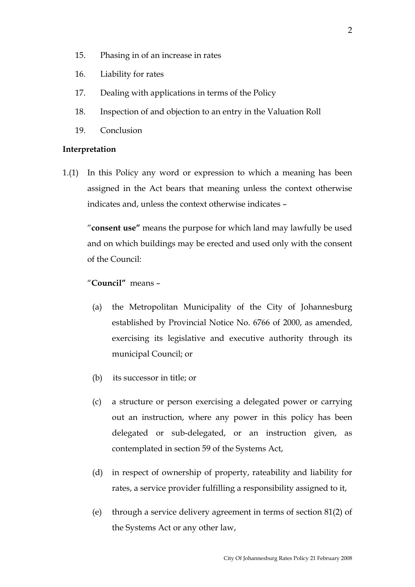- 15. Phasing in of an increase in rates
- 16. Liability for rates
- 17. Dealing with applications in terms of the Policy
- 18. Inspection of and objection to an entry in the Valuation Roll
- 19. Conclusion

#### **Interpretation**

1.(1) In this Policy any word or expression to which a meaning has been assigned in the Act bears that meaning unless the context otherwise indicates and, unless the context otherwise indicates –

 "**consent use"** means the purpose for which land may lawfully be used and on which buildings may be erected and used only with the consent of the Council:

## "**Council"** means –

- (a) the Metropolitan Municipality of the City of Johannesburg established by Provincial Notice No. 6766 of 2000, as amended, exercising its legislative and executive authority through its municipal Council; or
- (b) its successor in title; or
- (c) a structure or person exercising a delegated power or carrying out an instruction, where any power in this policy has been delegated or sub-delegated, or an instruction given, as contemplated in section 59 of the Systems Act,
- (d) in respect of ownership of property, rateability and liability for rates, a service provider fulfilling a responsibility assigned to it,
- (e) through a service delivery agreement in terms of section 81(2) of the Systems Act or any other law,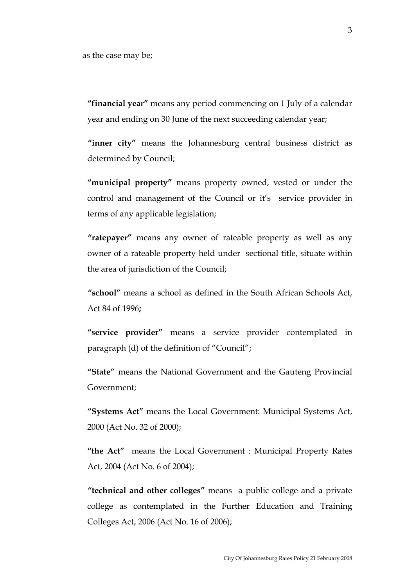**"financial year"** means any period commencing on 1 July of a calendar year and ending on 30 June of the next succeeding calendar year;

 **"inner city"** means the Johannesburg central business district as determined by Council;

 **"municipal property"** means property owned, vested or under the control and management of the Council or it's service provider in terms of any applicable legislation;

 **"ratepayer"** means any owner of rateable property as well as any owner of a rateable property held under sectional title, situate within the area of jurisdiction of the Council;

 **"school"** means a school as defined in the South African Schools Act, Act 84 of 1996**;** 

 **"service provider"** means a service provider contemplated in paragraph (d) of the definition of "Council";

 **"State"** means the National Government and the Gauteng Provincial Government;

 **"Systems Act"** means the Local Government: Municipal Systems Act, 2000 (Act No. 32 of 2000);

 **"the Act"** means the Local Government : Municipal Property Rates Act, 2004 (Act No. 6 of 2004);

 **"technical and other colleges"** means a public college and a private college as contemplated in the Further Education and Training Colleges Act, 2006 (Act No. 16 of 2006);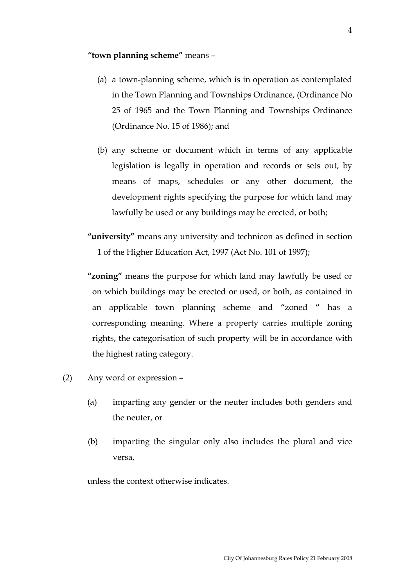#### **"town planning scheme"** means –

- (a) a town-planning scheme, which is in operation as contemplated in the Town Planning and Townships Ordinance, (Ordinance No 25 of 1965 and the Town Planning and Townships Ordinance (Ordinance No. 15 of 1986); and
- (b) any scheme or document which in terms of any applicable legislation is legally in operation and records or sets out, by means of maps, schedules or any other document, the development rights specifying the purpose for which land may lawfully be used or any buildings may be erected, or both;
- **"university"** means any university and technicon as defined in section 1 of the Higher Education Act, 1997 (Act No. 101 of 1997);
- **"zoning"** means the purpose for which land may lawfully be used or on which buildings may be erected or used, or both, as contained in an applicable town planning scheme and **"**zoned **"** has a corresponding meaning. Where a property carries multiple zoning rights, the categorisation of such property will be in accordance with the highest rating category.
- (2) Any word or expression
	- (a) imparting any gender or the neuter includes both genders and the neuter, or
	- (b) imparting the singular only also includes the plural and vice versa,

unless the context otherwise indicates.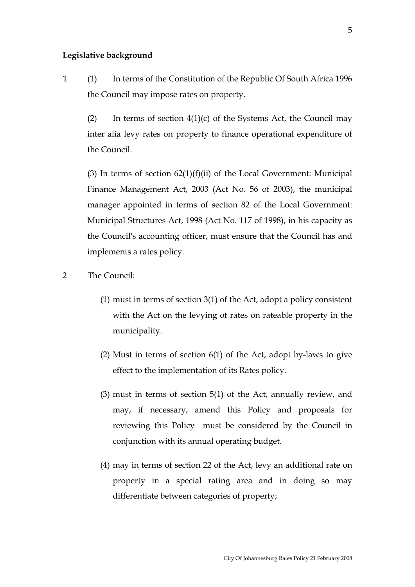#### **Legislative background**

1 (1) In terms of the Constitution of the Republic Of South Africa 1996 the Council may impose rates on property.

(2) In terms of section  $4(1)(c)$  of the Systems Act, the Council may inter alia levy rates on property to finance operational expenditure of the Council.

(3) In terms of section  $62(1)(f)(ii)$  of the Local Government: Municipal Finance Management Act, 2003 (Act No. 56 of 2003), the municipal manager appointed in terms of section 82 of the Local Government: Municipal Structures Act, 1998 (Act No. 117 of 1998), in his capacity as the Council's accounting officer, must ensure that the Council has and implements a rates policy.

- 2 The Council:
	- (1) must in terms of section 3(1) of the Act, adopt a policy consistent with the Act on the levying of rates on rateable property in the municipality.
	- (2) Must in terms of section 6(1) of the Act, adopt by-laws to give effect to the implementation of its Rates policy.
	- (3) must in terms of section 5(1) of the Act, annually review, and may, if necessary, amend this Policy and proposals for reviewing this Policy must be considered by the Council in conjunction with its annual operating budget.
	- (4) may in terms of section 22 of the Act, levy an additional rate on property in a special rating area and in doing so may differentiate between categories of property;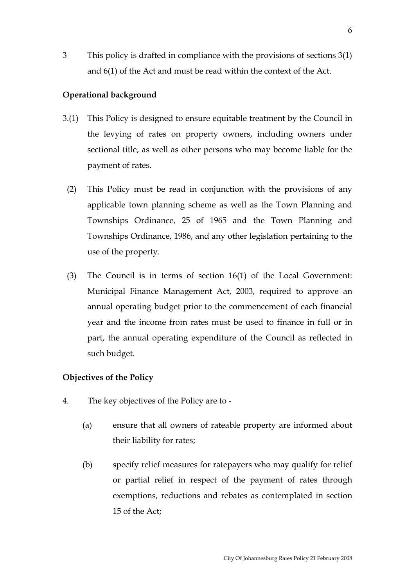3 This policy is drafted in compliance with the provisions of sections 3(1) and 6(1) of the Act and must be read within the context of the Act.

# **Operational background**

- 3.(1) This Policy is designed to ensure equitable treatment by the Council in the levying of rates on property owners, including owners under sectional title, as well as other persons who may become liable for the payment of rates.
	- (2) This Policy must be read in conjunction with the provisions of any applicable town planning scheme as well as the Town Planning and Townships Ordinance, 25 of 1965 and the Town Planning and Townships Ordinance, 1986, and any other legislation pertaining to the use of the property.
	- (3) The Council is in terms of section 16(1) of the Local Government: Municipal Finance Management Act, 2003, required to approve an annual operating budget prior to the commencement of each financial year and the income from rates must be used to finance in full or in part, the annual operating expenditure of the Council as reflected in such budget.

# **Objectives of the Policy**

- 4. The key objectives of the Policy are to
	- (a) ensure that all owners of rateable property are informed about their liability for rates;
	- (b) specify relief measures for ratepayers who may qualify for relief or partial relief in respect of the payment of rates through exemptions, reductions and rebates as contemplated in section 15 of the Act;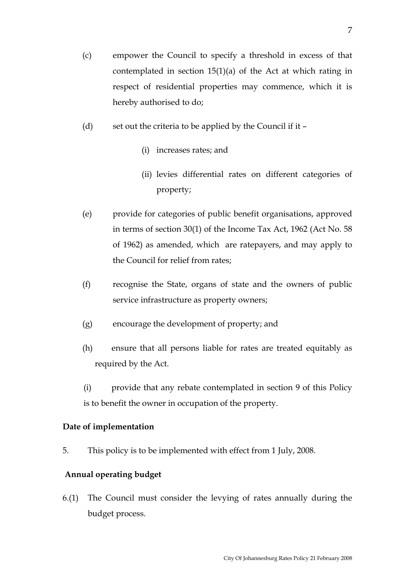- (c) empower the Council to specify a threshold in excess of that contemplated in section 15(1)(a) of the Act at which rating in respect of residential properties may commence, which it is hereby authorised to do;
- (d) set out the criteria to be applied by the Council if it
	- (i) increases rates; and
	- (ii) levies differential rates on different categories of property;
- (e) provide for categories of public benefit organisations, approved in terms of section 30(1) of the Income Tax Act, 1962 (Act No. 58 of 1962) as amended, which are ratepayers, and may apply to the Council for relief from rates;
- (f) recognise the State, organs of state and the owners of public service infrastructure as property owners;
- (g) encourage the development of property; and
- (h) ensure that all persons liable for rates are treated equitably as required by the Act.
- (i) provide that any rebate contemplated in section 9 of this Policy is to benefit the owner in occupation of the property.

# **Date of implementation**

5. This policy is to be implemented with effect from 1 July, 2008.

# **Annual operating budget**

6.(1) The Council must consider the levying of rates annually during the budget process.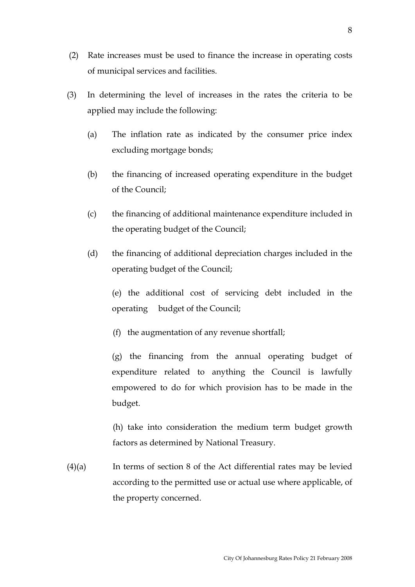- (2) Rate increases must be used to finance the increase in operating costs of municipal services and facilities.
- (3) In determining the level of increases in the rates the criteria to be applied may include the following:
	- (a) The inflation rate as indicated by the consumer price index excluding mortgage bonds;
	- (b) the financing of increased operating expenditure in the budget of the Council;
	- (c) the financing of additional maintenance expenditure included in the operating budget of the Council;
	- (d) the financing of additional depreciation charges included in the operating budget of the Council;

(e) the additional cost of servicing debt included in the operating budget of the Council;

(f) the augmentation of any revenue shortfall;

(g) the financing from the annual operating budget of expenditure related to anything the Council is lawfully empowered to do for which provision has to be made in the budget.

(h) take into consideration the medium term budget growth factors as determined by National Treasury.

(4)(a) In terms of section 8 of the Act differential rates may be levied according to the permitted use or actual use where applicable, of the property concerned.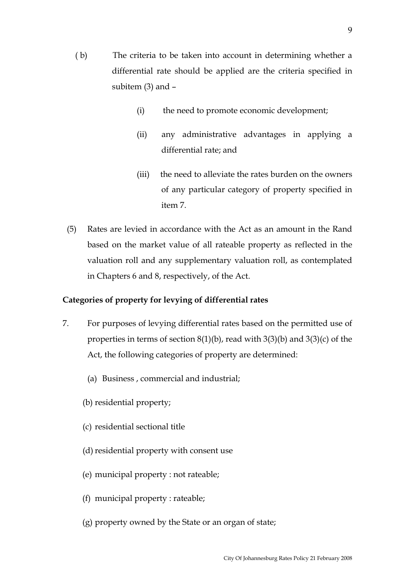- ( b) The criteria to be taken into account in determining whether a differential rate should be applied are the criteria specified in subitem (3) and –
	- (i) the need to promote economic development;
	- (ii) any administrative advantages in applying a differential rate; and
	- (iii) the need to alleviate the rates burden on the owners of any particular category of property specified in item 7.
- (5) Rates are levied in accordance with the Act as an amount in the Rand based on the market value of all rateable property as reflected in the valuation roll and any supplementary valuation roll, as contemplated in Chapters 6 and 8, respectively, of the Act.

# **Categories of property for levying of differential rates**

- 7. For purposes of levying differential rates based on the permitted use of properties in terms of section 8(1)(b), read with 3(3)(b) and 3(3)(c) of the Act, the following categories of property are determined:
	- (a) Business , commercial and industrial;
	- (b) residential property;
	- (c) residential sectional title
	- (d) residential property with consent use
	- (e) municipal property : not rateable;
	- (f) municipal property : rateable;
	- (g) property owned by the State or an organ of state;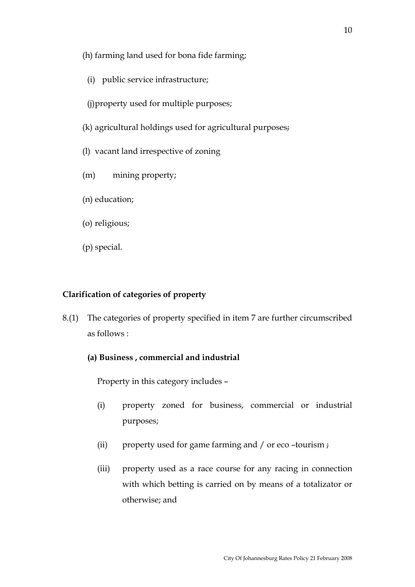- (h) farming land used for bona fide farming;
- (i) public service infrastructure;
- (j)property used for multiple purposes;
- (k) agricultural holdings used for agricultural purposes;
- (l) vacant land irrespective of zoning
- (m) mining property;
- (n) education;
- (o) religious;
- (p) special.

# **Clarification of categories of property**

- 8.(1) The categories of property specified in item 7 are further circumscribed as follows :
	- **(a) Business , commercial and industrial**

Property in this category includes –

- (i) property zoned for business, commercial or industrial purposes;
- (ii) property used for game farming and / or eco –tourism ;
- (iii) property used as a race course for any racing in connection with which betting is carried on by means of a totalizator or otherwise; and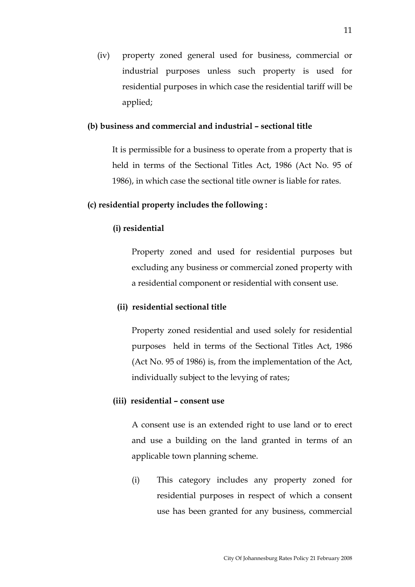(iv) property zoned general used for business, commercial or industrial purposes unless such property is used for residential purposes in which case the residential tariff will be applied;

### **(b) business and commercial and industrial – sectional title**

It is permissible for a business to operate from a property that is held in terms of the Sectional Titles Act, 1986 (Act No. 95 of 1986), in which case the sectional title owner is liable for rates.

## **(c) residential property includes the following :**

#### **(i) residential**

Property zoned and used for residential purposes but excluding any business or commercial zoned property with a residential component or residential with consent use.

#### **(ii) residential sectional title**

 Property zoned residential and used solely for residential purposes held in terms of the Sectional Titles Act, 1986 (Act No. 95 of 1986) is, from the implementation of the Act, individually subject to the levying of rates;

#### **(iii) residential – consent use**

 A consent use is an extended right to use land or to erect and use a building on the land granted in terms of an applicable town planning scheme.

(i) This category includes any property zoned for residential purposes in respect of which a consent use has been granted for any business, commercial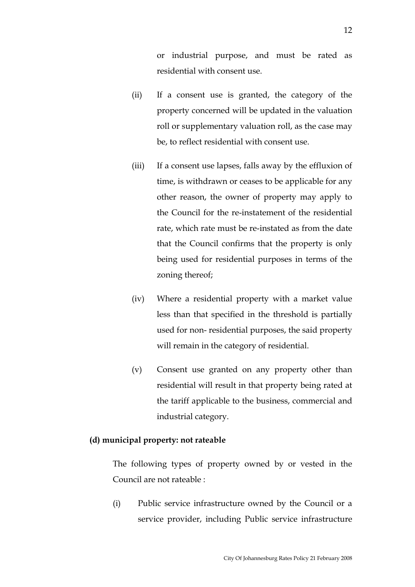or industrial purpose, and must be rated as residential with consent use.

- (ii) If a consent use is granted, the category of the property concerned will be updated in the valuation roll or supplementary valuation roll, as the case may be, to reflect residential with consent use.
- (iii) If a consent use lapses, falls away by the effluxion of time, is withdrawn or ceases to be applicable for any other reason, the owner of property may apply to the Council for the re-instatement of the residential rate, which rate must be re-instated as from the date that the Council confirms that the property is only being used for residential purposes in terms of the zoning thereof;
- (iv) Where a residential property with a market value less than that specified in the threshold is partially used for non- residential purposes, the said property will remain in the category of residential.
- (v) Consent use granted on any property other than residential will result in that property being rated at the tariff applicable to the business, commercial and industrial category.

## **(d) municipal property: not rateable**

The following types of property owned by or vested in the Council are not rateable :

(i) Public service infrastructure owned by the Council or a service provider, including Public service infrastructure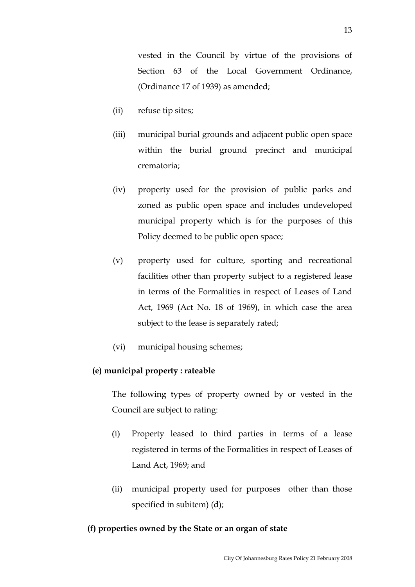vested in the Council by virtue of the provisions of Section 63 of the Local Government Ordinance, (Ordinance 17 of 1939) as amended;

- (ii) refuse tip sites;
- (iii) municipal burial grounds and adjacent public open space within the burial ground precinct and municipal crematoria;
- (iv) property used for the provision of public parks and zoned as public open space and includes undeveloped municipal property which is for the purposes of this Policy deemed to be public open space;
- (v) property used for culture, sporting and recreational facilities other than property subject to a registered lease in terms of the Formalities in respect of Leases of Land Act, 1969 (Act No. 18 of 1969), in which case the area subject to the lease is separately rated;
- (vi) municipal housing schemes;

# **(e) municipal property : rateable**

The following types of property owned by or vested in the Council are subject to rating:

- (i) Property leased to third parties in terms of a lease registered in terms of the Formalities in respect of Leases of Land Act, 1969; and
- (ii) municipal property used for purposes other than those specified in subitem) (d);

# **(f) properties owned by the State or an organ of state**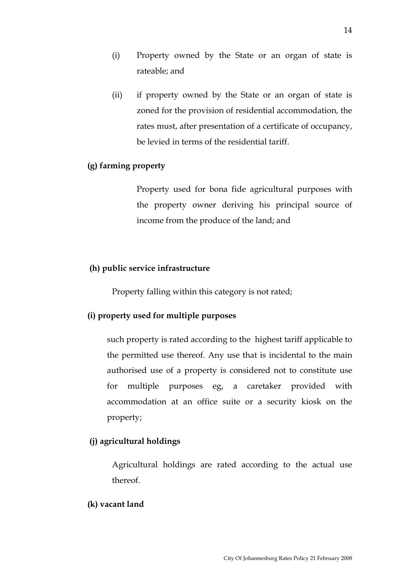- (i) Property owned by the State or an organ of state is rateable; and
- (ii) if property owned by the State or an organ of state is zoned for the provision of residential accommodation, the rates must, after presentation of a certificate of occupancy, be levied in terms of the residential tariff.

# **(g) farming property**

 Property used for bona fide agricultural purposes with the property owner deriving his principal source of income from the produce of the land; and

## **(h) public service infrastructure**

Property falling within this category is not rated;

## **(i) property used for multiple purposes**

such property is rated according to the highest tariff applicable to the permitted use thereof. Any use that is incidental to the main authorised use of a property is considered not to constitute use for multiple purposes eg, a caretaker provided with accommodation at an office suite or a security kiosk on the property;

## **(j) agricultural holdings**

Agricultural holdings are rated according to the actual use thereof.

#### **(k) vacant land**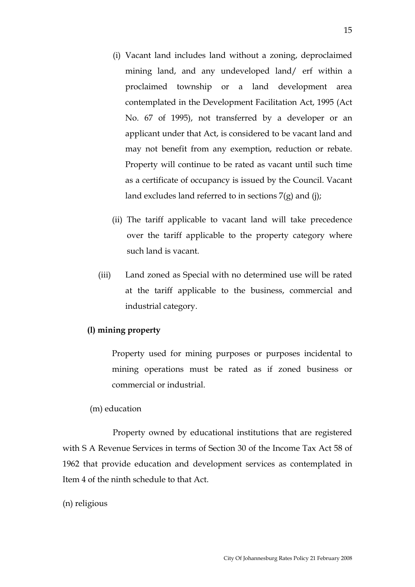- (i) Vacant land includes land without a zoning, deproclaimed mining land, and any undeveloped land/ erf within a proclaimed township or a land development area contemplated in the Development Facilitation Act, 1995 (Act No. 67 of 1995), not transferred by a developer or an applicant under that Act, is considered to be vacant land and may not benefit from any exemption, reduction or rebate. Property will continue to be rated as vacant until such time as a certificate of occupancy is issued by the Council. Vacant land excludes land referred to in sections 7(g) and (j);
- (ii) The tariff applicable to vacant land will take precedence over the tariff applicable to the property category where such land is vacant.
- (iii) Land zoned as Special with no determined use will be rated at the tariff applicable to the business, commercial and industrial category.

## **(l) mining property**

Property used for mining purposes or purposes incidental to mining operations must be rated as if zoned business or commercial or industrial.

#### (m) education

 Property owned by educational institutions that are registered with S A Revenue Services in terms of Section 30 of the Income Tax Act 58 of 1962 that provide education and development services as contemplated in Item 4 of the ninth schedule to that Act.

#### (n) religious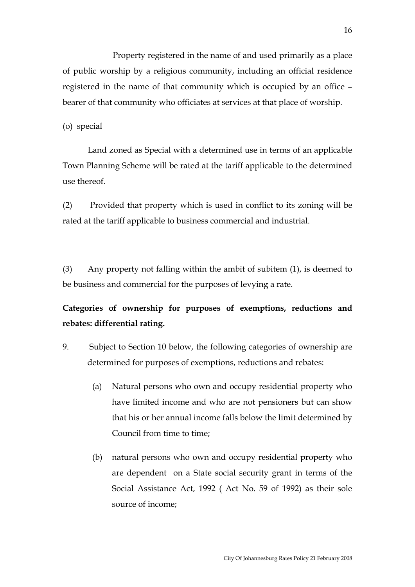Property registered in the name of and used primarily as a place of public worship by a religious community, including an official residence registered in the name of that community which is occupied by an office – bearer of that community who officiates at services at that place of worship.

(o) special

 Land zoned as Special with a determined use in terms of an applicable Town Planning Scheme will be rated at the tariff applicable to the determined use thereof.

(2) Provided that property which is used in conflict to its zoning will be rated at the tariff applicable to business commercial and industrial.

(3) Any property not falling within the ambit of subitem (1), is deemed to be business and commercial for the purposes of levying a rate.

# **Categories of ownership for purposes of exemptions, reductions and rebates: differential rating.**

- 9. Subject to Section 10 below, the following categories of ownership are determined for purposes of exemptions, reductions and rebates:
	- (a) Natural persons who own and occupy residential property who have limited income and who are not pensioners but can show that his or her annual income falls below the limit determined by Council from time to time;
	- (b) natural persons who own and occupy residential property who are dependent on a State social security grant in terms of the Social Assistance Act, 1992 ( Act No. 59 of 1992) as their sole source of income;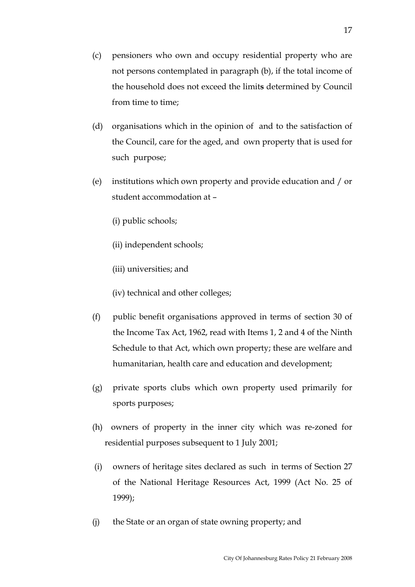- (c) pensioners who own and occupy residential property who are not persons contemplated in paragraph (b), if the total income of the household does not exceed the limit**s** determined by Council from time to time;
- (d) organisations which in the opinion of and to the satisfaction of the Council, care for the aged, and own property that is used for such purpose;
- (e) institutions which own property and provide education and / or student accommodation at –
	- (i) public schools;
	- (ii) independent schools;
	- (iii) universities; and
	- (iv) technical and other colleges;
- (f) public benefit organisations approved in terms of section 30 of the Income Tax Act, 1962, read with Items 1, 2 and 4 of the Ninth Schedule to that Act, which own property; these are welfare and humanitarian, health care and education and development;
- (g) private sports clubs which own property used primarily for sports purposes;
- (h) owners of property in the inner city which was re-zoned for residential purposes subsequent to 1 July 2001;
- (i) owners of heritage sites declared as such in terms of Section 27 of the National Heritage Resources Act, 1999 (Act No. 25 of 1999);
- (j) the State or an organ of state owning property; and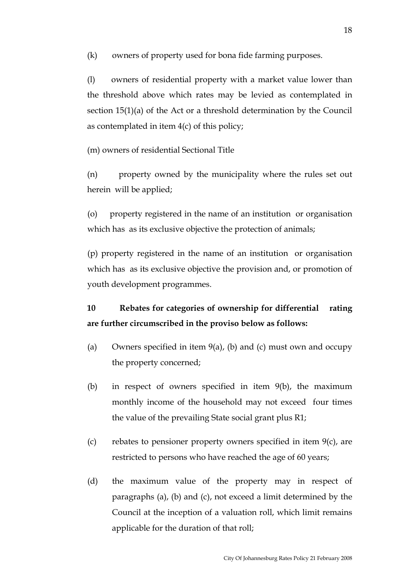(k) owners of property used for bona fide farming purposes.

(l) owners of residential property with a market value lower than the threshold above which rates may be levied as contemplated in section 15(1)(a) of the Act or a threshold determination by the Council as contemplated in item 4(c) of this policy;

(m) owners of residential Sectional Title

(n) property owned by the municipality where the rules set out herein will be applied;

(o) property registered in the name of an institution or organisation which has as its exclusive objective the protection of animals;

(p) property registered in the name of an institution or organisation which has as its exclusive objective the provision and, or promotion of youth development programmes.

**10 Rebates for categories of ownership for differential rating are further circumscribed in the proviso below as follows:** 

- (a) Owners specified in item  $9(a)$ , (b) and (c) must own and occupy the property concerned;
- (b) in respect of owners specified in item 9(b), the maximum monthly income of the household may not exceed four times the value of the prevailing State social grant plus R1;
- (c) rebates to pensioner property owners specified in item  $9(c)$ , are restricted to persons who have reached the age of 60 years;
- (d) the maximum value of the property may in respect of paragraphs (a), (b) and (c), not exceed a limit determined by the Council at the inception of a valuation roll, which limit remains applicable for the duration of that roll;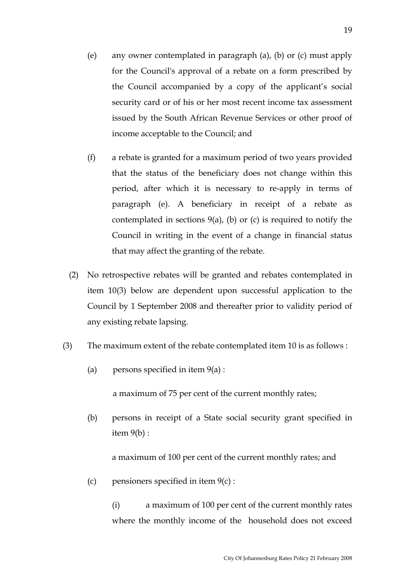- (e) any owner contemplated in paragraph (a), (b) or (c) must apply for the Council's approval of a rebate on a form prescribed by the Council accompanied by a copy of the applicant's social security card or of his or her most recent income tax assessment issued by the South African Revenue Services or other proof of income acceptable to the Council; and
- (f) a rebate is granted for a maximum period of two years provided that the status of the beneficiary does not change within this period, after which it is necessary to re-apply in terms of paragraph (e). A beneficiary in receipt of a rebate as contemplated in sections  $9(a)$ , (b) or (c) is required to notify the Council in writing in the event of a change in financial status that may affect the granting of the rebate.
- (2) No retrospective rebates will be granted and rebates contemplated in item 10(3) below are dependent upon successful application to the Council by 1 September 2008 and thereafter prior to validity period of any existing rebate lapsing.
- (3) The maximum extent of the rebate contemplated item 10 is as follows :
	- (a) persons specified in item  $9(a)$ :

a maximum of 75 per cent of the current monthly rates;

(b) persons in receipt of a State social security grant specified in item 9(b) :

a maximum of 100 per cent of the current monthly rates; and

(c) pensioners specified in item  $9(c)$ :

 (i) a maximum of 100 per cent of the current monthly rates where the monthly income of the household does not exceed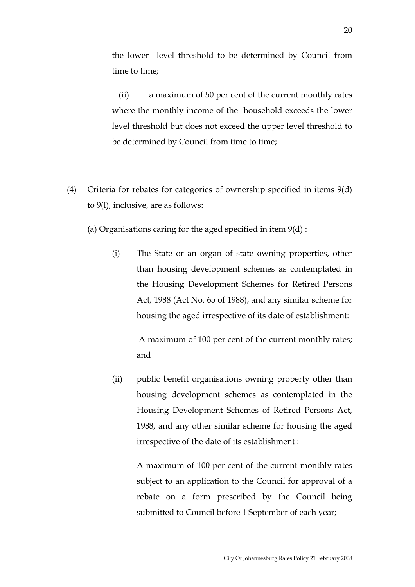the lower level threshold to be determined by Council from time to time;

 (ii) a maximum of 50 per cent of the current monthly rates where the monthly income of the household exceeds the lower level threshold but does not exceed the upper level threshold to be determined by Council from time to time;

- (4) Criteria for rebates for categories of ownership specified in items 9(d) to 9(l), inclusive, are as follows:
	- (a) Organisations caring for the aged specified in item  $9(d)$ :
		- (i) The State or an organ of state owning properties, other than housing development schemes as contemplated in the Housing Development Schemes for Retired Persons Act, 1988 (Act No. 65 of 1988), and any similar scheme for housing the aged irrespective of its date of establishment:

 A maximum of 100 per cent of the current monthly rates; and

(ii) public benefit organisations owning property other than housing development schemes as contemplated in the Housing Development Schemes of Retired Persons Act, 1988, and any other similar scheme for housing the aged irrespective of the date of its establishment :

> A maximum of 100 per cent of the current monthly rates subject to an application to the Council for approval of a rebate on a form prescribed by the Council being submitted to Council before 1 September of each year;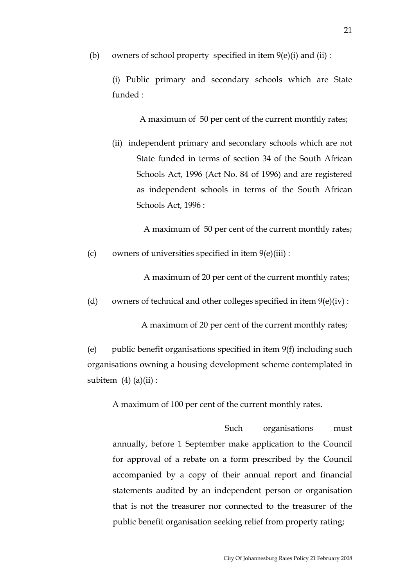(b) owners of school property specified in item  $9(e)(i)$  and  $(ii)$ :

 (i) Public primary and secondary schools which are State funded :

A maximum of 50 per cent of the current monthly rates;

(ii) independent primary and secondary schools which are not State funded in terms of section 34 of the South African Schools Act, 1996 (Act No. 84 of 1996) and are registered as independent schools in terms of the South African Schools Act, 1996 :

A maximum of 50 per cent of the current monthly rates;

(c) owners of universities specified in item  $9(e)$ (iii) :

A maximum of 20 per cent of the current monthly rates;

(d) owners of technical and other colleges specified in item  $9(e)(iv)$ :

A maximum of 20 per cent of the current monthly rates;

 (e) public benefit organisations specified in item 9(f) including such organisations owning a housing development scheme contemplated in subitem  $(4)$   $(a)(ii)$ :

A maximum of 100 per cent of the current monthly rates.

 Such organisations must annually, before 1 September make application to the Council for approval of a rebate on a form prescribed by the Council accompanied by a copy of their annual report and financial statements audited by an independent person or organisation that is not the treasurer nor connected to the treasurer of the public benefit organisation seeking relief from property rating;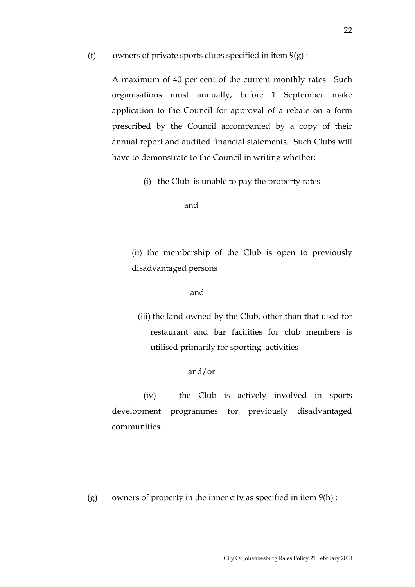#### (f) owners of private sports clubs specified in item  $9(g)$ :

A maximum of 40 per cent of the current monthly rates. Such organisations must annually, before 1 September make application to the Council for approval of a rebate on a form prescribed by the Council accompanied by a copy of their annual report and audited financial statements. Such Clubs will have to demonstrate to the Council in writing whether:

(i) the Club is unable to pay the property rates

and

(ii) the membership of the Club is open to previously disadvantaged persons

#### and

(iii) the land owned by the Club, other than that used for restaurant and bar facilities for club members is utilised primarily for sporting activities

## and/or

 (iv) the Club is actively involved in sports development programmes for previously disadvantaged communities.

(g) owners of property in the inner city as specified in item  $9(h)$  :

 $22$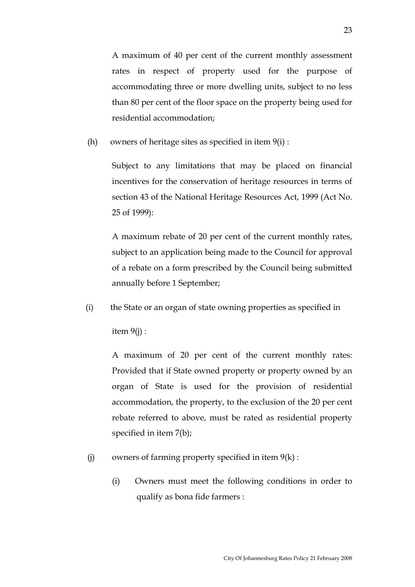A maximum of 40 per cent of the current monthly assessment rates in respect of property used for the purpose of accommodating three or more dwelling units, subject to no less than 80 per cent of the floor space on the property being used for residential accommodation;

(h) owners of heritage sites as specified in item  $9(i)$ :

Subject to any limitations that may be placed on financial incentives for the conservation of heritage resources in terms of section 43 of the National Heritage Resources Act, 1999 (Act No. 25 of 1999):

A maximum rebate of 20 per cent of the current monthly rates, subject to an application being made to the Council for approval of a rebate on a form prescribed by the Council being submitted annually before 1 September;

(i) the State or an organ of state owning properties as specified in

item 9(j) :

A maximum of 20 per cent of the current monthly rates: Provided that if State owned property or property owned by an organ of State is used for the provision of residential accommodation, the property, to the exclusion of the 20 per cent rebate referred to above, must be rated as residential property specified in item 7(b);

- (i) owners of farming property specified in item  $9(k)$ :
	- (i) Owners must meet the following conditions in order to qualify as bona fide farmers :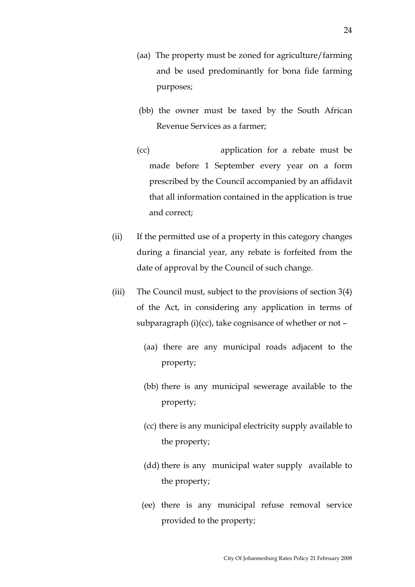- (aa) The property must be zoned for agriculture/farming and be used predominantly for bona fide farming purposes;
- (bb) the owner must be taxed by the South African Revenue Services as a farmer;
- (cc) application for a rebate must be made before 1 September every year on a form prescribed by the Council accompanied by an affidavit that all information contained in the application is true and correct;
- (ii) If the permitted use of a property in this category changes during a financial year, any rebate is forfeited from the date of approval by the Council of such change.
- (iii) The Council must, subject to the provisions of section 3(4) of the Act, in considering any application in terms of subparagraph (i)(cc), take cognisance of whether or not –
	- (aa) there are any municipal roads adjacent to the property;
	- (bb) there is any municipal sewerage available to the property;
	- (cc) there is any municipal electricity supply available to the property;
	- (dd) there is any municipal water supply available to the property;
	- (ee) there is any municipal refuse removal service provided to the property;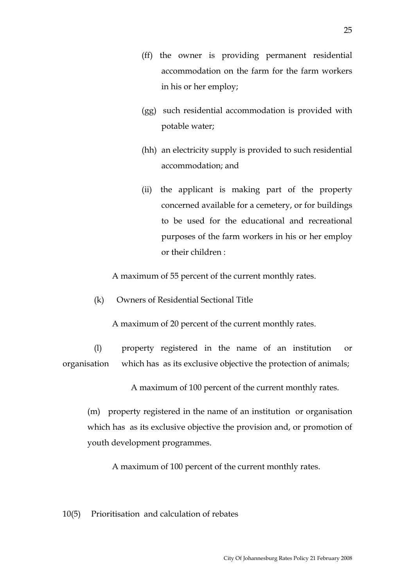- (ff) the owner is providing permanent residential accommodation on the farm for the farm workers in his or her employ;
- (gg) such residential accommodation is provided with potable water;
- (hh) an electricity supply is provided to such residential accommodation; and
- (ii) the applicant is making part of the property concerned available for a cemetery, or for buildings to be used for the educational and recreational purposes of the farm workers in his or her employ or their children :

A maximum of 55 percent of the current monthly rates.

(k) Owners of Residential Sectional Title

A maximum of 20 percent of the current monthly rates.

 (l) property registered in the name of an institution or organisation which has as its exclusive objective the protection of animals;

A maximum of 100 percent of the current monthly rates.

(m) property registered in the name of an institution or organisation which has as its exclusive objective the provision and, or promotion of youth development programmes.

A maximum of 100 percent of the current monthly rates.

## 10(5) Prioritisation and calculation of rebates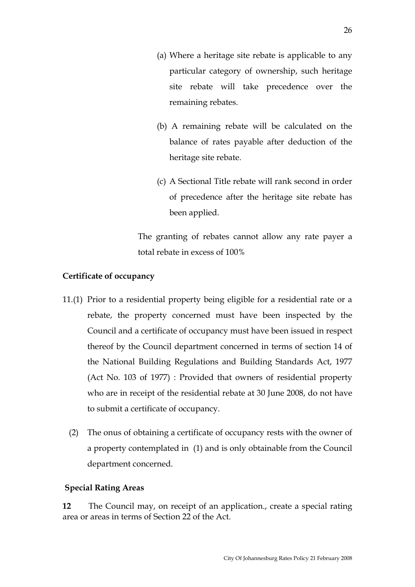- (a) Where a heritage site rebate is applicable to any particular category of ownership, such heritage site rebate will take precedence over the remaining rebates.
- (b) A remaining rebate will be calculated on the balance of rates payable after deduction of the heritage site rebate.
- (c) A Sectional Title rebate will rank second in order of precedence after the heritage site rebate has been applied.

 The granting of rebates cannot allow any rate payer a total rebate in excess of 100%

# **Certificate of occupancy**

- 11.(1) Prior to a residential property being eligible for a residential rate or a rebate, the property concerned must have been inspected by the Council and a certificate of occupancy must have been issued in respect thereof by the Council department concerned in terms of section 14 of the National Building Regulations and Building Standards Act, 1977 (Act No. 103 of 1977) : Provided that owners of residential property who are in receipt of the residential rebate at 30 June 2008, do not have to submit a certificate of occupancy.
	- (2) The onus of obtaining a certificate of occupancy rests with the owner of a property contemplated in (1) and is only obtainable from the Council department concerned.

# **Special Rating Areas**

**12** The Council may, on receipt of an application., create a special rating area or areas in terms of Section 22 of the Act.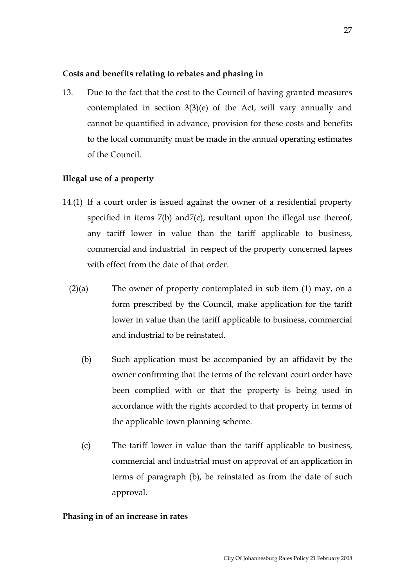## **Costs and benefits relating to rebates and phasing in**

13. Due to the fact that the cost to the Council of having granted measures contemplated in section 3(3)(e) of the Act, will vary annually and cannot be quantified in advance, provision for these costs and benefits to the local community must be made in the annual operating estimates of the Council.

## **Illegal use of a property**

- 14.(1) If a court order is issued against the owner of a residential property specified in items 7(b) and 7(c), resultant upon the illegal use thereof, any tariff lower in value than the tariff applicable to business, commercial and industrial in respect of the property concerned lapses with effect from the date of that order
	- $(2)(a)$  The owner of property contemplated in sub item  $(1)$  may, on a form prescribed by the Council, make application for the tariff lower in value than the tariff applicable to business, commercial and industrial to be reinstated.
		- (b) Such application must be accompanied by an affidavit by the owner confirming that the terms of the relevant court order have been complied with or that the property is being used in accordance with the rights accorded to that property in terms of the applicable town planning scheme.
		- (c) The tariff lower in value than the tariff applicable to business, commercial and industrial must on approval of an application in terms of paragraph (b), be reinstated as from the date of such approval.

### **Phasing in of an increase in rates**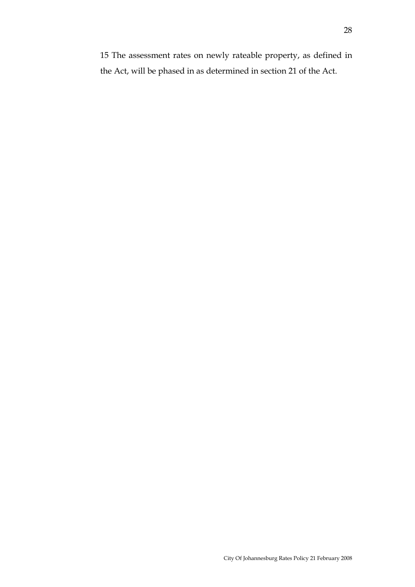15 The assessment rates on newly rateable property, as defined in the Act, will be phased in as determined in section 21 of the Act.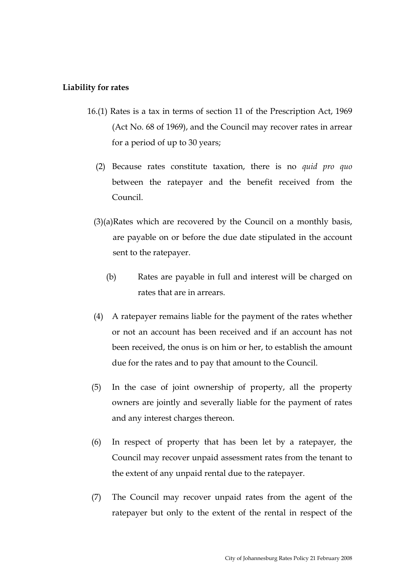#### **Liability for rates**

- 16.(1) Rates is a tax in terms of section 11 of the Prescription Act, 1969 (Act No. 68 of 1969), and the Council may recover rates in arrear for a period of up to 30 years;
	- (2) Because rates constitute taxation, there is no *quid pro quo* between the ratepayer and the benefit received from the Council.
	- (3)(a)Rates which are recovered by the Council on a monthly basis, are payable on or before the due date stipulated in the account sent to the ratepayer.
		- (b) Rates are payable in full and interest will be charged on rates that are in arrears.
	- (4) A ratepayer remains liable for the payment of the rates whether or not an account has been received and if an account has not been received, the onus is on him or her, to establish the amount due for the rates and to pay that amount to the Council.
	- (5) In the case of joint ownership of property, all the property owners are jointly and severally liable for the payment of rates and any interest charges thereon.
- (6) In respect of property that has been let by a ratepayer, the Council may recover unpaid assessment rates from the tenant to the extent of any unpaid rental due to the ratepayer.
- (7) The Council may recover unpaid rates from the agent of the ratepayer but only to the extent of the rental in respect of the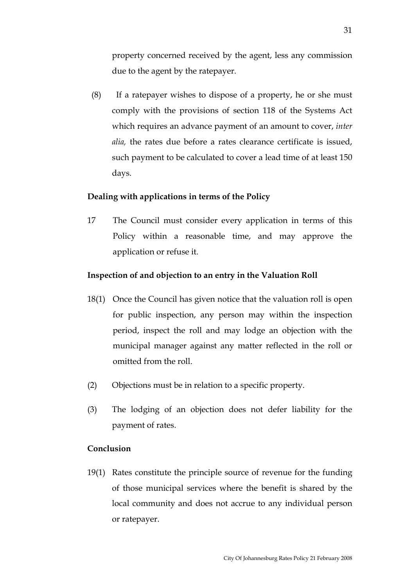property concerned received by the agent, less any commission due to the agent by the ratepayer.

 (8) If a ratepayer wishes to dispose of a property, he or she must comply with the provisions of section 118 of the Systems Act which requires an advance payment of an amount to cover, *inter alia,* the rates due before a rates clearance certificate is issued, such payment to be calculated to cover a lead time of at least 150 days.

## **Dealing with applications in terms of the Policy**

17 The Council must consider every application in terms of this Policy within a reasonable time, and may approve the application or refuse it.

#### **Inspection of and objection to an entry in the Valuation Roll**

- 18(1) Once the Council has given notice that the valuation roll is open for public inspection, any person may within the inspection period, inspect the roll and may lodge an objection with the municipal manager against any matter reflected in the roll or omitted from the roll.
- (2) Objections must be in relation to a specific property.
- (3) The lodging of an objection does not defer liability for the payment of rates.

#### **Conclusion**

19(1) Rates constitute the principle source of revenue for the funding of those municipal services where the benefit is shared by the local community and does not accrue to any individual person or ratepayer.